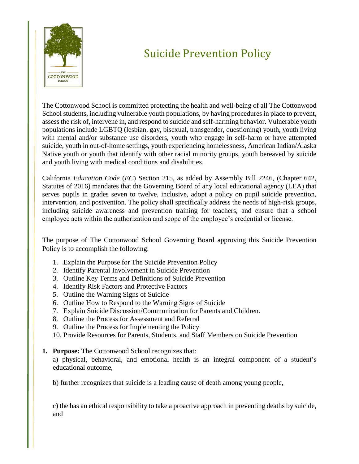

# Suicide Prevention Policy

The Cottonwood School is committed protecting the health and well-being of all The Cottonwood School students, including vulnerable youth populations, by having procedures in place to prevent, assess the risk of, intervene in, and respond to suicide and self-harming behavior. Vulnerable youth populations include LGBTQ (lesbian, gay, bisexual, transgender, questioning) youth, youth living with mental and/or substance use disorders, youth who engage in self-harm or have attempted suicide, youth in out-of-home settings, youth experiencing homelessness, American Indian/Alaska Native youth or youth that identify with other racial minority groups, youth bereaved by suicide and youth living with medical conditions and disabilities.

California *Education Code* (*EC*) Section 215, as added by Assembly Bill 2246, (Chapter 642, Statutes of 2016) mandates that the Governing Board of any local educational agency (LEA) that serves pupils in grades seven to twelve, inclusive, adopt a policy on pupil suicide prevention, intervention, and postvention. The policy shall specifically address the needs of high-risk groups, including suicide awareness and prevention training for teachers, and ensure that a school employee acts within the authorization and scope of the employee's credential or license.

The purpose of The Cottonwood School Governing Board approving this Suicide Prevention Policy is to accomplish the following:

- 1. Explain the Purpose for The Suicide Prevention Policy
- 2. Identify Parental Involvement in Suicide Prevention
- 3. Outline Key Terms and Definitions of Suicide Prevention
- 4. Identify Risk Factors and Protective Factors
- 5. Outline the Warning Signs of Suicide
- 6. Outline How to Respond to the Warning Signs of Suicide
- 7. Explain Suicide Discussion/Communication for Parents and Children.
- 8. Outline the Process for Assessment and Referral
- 9. Outline the Process for Implementing the Policy
- 10. Provide Resources for Parents, Students, and Staff Members on Suicide Prevention
- **1. Purpose:** The Cottonwood School recognizes that:

a) physical, behavioral, and emotional health is an integral component of a student's educational outcome,

b) further recognizes that suicide is a leading cause of death among young people,

c) the has an ethical responsibility to take a proactive approach in preventing deaths by suicide, and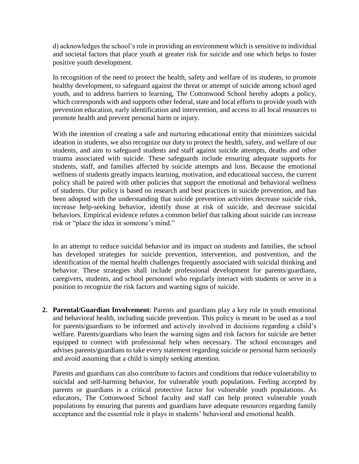d) acknowledges the school's role in providing an environment which is sensitive to individual and societal factors that place youth at greater risk for suicide and one which helps to foster positive youth development.

In recognition of the need to protect the health, safety and welfare of its students, to promote healthy development, to safeguard against the threat or attempt of suicide among school aged youth, and to address barriers to learning, The Cottonwood School hereby adopts a policy, which corresponds with and supports other federal, state and local efforts to provide youth with prevention education, early identification and intervention, and access to all local resources to promote health and prevent personal harm or injury.

With the intention of creating a safe and nurturing educational entity that minimizes suicidal ideation in students, we also recognize our duty to protect the health, safety, and welfare of our students, and aim to safeguard students and staff against suicide attempts, deaths and other trauma associated with suicide. These safeguards include ensuring adequate supports for students, staff, and families affected by suicide attempts and loss. Because the emotional wellness of students greatly impacts learning, motivation, and educational success, the current policy shall be paired with other policies that support the emotional and behavioral wellness of students. Our policy is based on research and best practices in suicide prevention, and has been adopted with the understanding that suicide prevention activities decrease suicide risk, increase help-seeking behavior, identify those at risk of suicide, and decrease suicidal behaviors. Empirical evidence refutes a common belief that talking about suicide can increase risk or "place the idea in someone's mind."

In an attempt to reduce suicidal behavior and its impact on students and families, the school has developed strategies for suicide prevention, intervention, and postvention, and the identification of the mental health challenges frequently associated with suicidal thinking and behavior. These strategies shall include professional development for parents/guardians, caregivers, students, and school personnel who regularly interact with students or serve in a position to recognize the risk factors and warning signs of suicide.

**2. Parental/Guardian Involvement**: Parents and guardians play a key role in youth emotional and behavioral health, including suicide prevention. This policy is meant to be used as a tool for parents/guardians to be informed and actively involved in decisions regarding a child's welfare. Parents/guardians who learn the warning signs and risk factors for suicide are better equipped to connect with professional help when necessary. The school encourages and advises parents/guardians to take every statement regarding suicide or personal harm seriously and avoid assuming that a child is simply seeking attention.

Parents and guardians can also contribute to factors and conditions that reduce vulnerability to suicidal and self-harming behavior, for vulnerable youth populations. Feeling accepted by parents or guardians is a critical protective factor for vulnerable youth populations. As educators, The Cottonwood School faculty and staff can help protect vulnerable youth populations by ensuring that parents and guardians have adequate resources regarding family acceptance and the essential role it plays in students' behavioral and emotional health.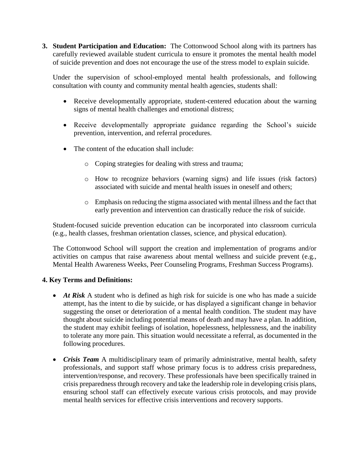**3. Student Participation and Education:** The Cottonwood School along with its partners has carefully reviewed available student curricula to ensure it promotes the mental health model of suicide prevention and does not encourage the use of the stress model to explain suicide.

Under the supervision of school-employed mental health professionals, and following consultation with county and community mental health agencies, students shall:

- Receive developmentally appropriate, student-centered education about the warning signs of mental health challenges and emotional distress;
- Receive developmentally appropriate guidance regarding the School's suicide prevention, intervention, and referral procedures.
- The content of the education shall include:
	- o Coping strategies for dealing with stress and trauma;
	- o How to recognize behaviors (warning signs) and life issues (risk factors) associated with suicide and mental health issues in oneself and others;
	- o Emphasis on reducing the stigma associated with mental illness and the fact that early prevention and intervention can drastically reduce the risk of suicide.

Student-focused suicide prevention education can be incorporated into classroom curricula (e.g., health classes, freshman orientation classes, science, and physical education).

The Cottonwood School will support the creation and implementation of programs and/or activities on campus that raise awareness about mental wellness and suicide prevent (e.g., Mental Health Awareness Weeks, Peer Counseling Programs, Freshman Success Programs).

## **4. Key Terms and Definitions:**

- *At Risk* A student who is defined as high risk for suicide is one who has made a suicide attempt, has the intent to die by suicide, or has displayed a significant change in behavior suggesting the onset or deterioration of a mental health condition. The student may have thought about suicide including potential means of death and may have a plan. In addition, the student may exhibit feelings of isolation, hopelessness, helplessness, and the inability to tolerate any more pain. This situation would necessitate a referral, as documented in the following procedures.
- *Crisis Team* A multidisciplinary team of primarily administrative, mental health, safety professionals, and support staff whose primary focus is to address crisis preparedness, intervention/response, and recovery. These professionals have been specifically trained in crisis preparedness through recovery and take the leadership role in developing crisis plans, ensuring school staff can effectively execute various crisis protocols, and may provide mental health services for effective crisis interventions and recovery supports.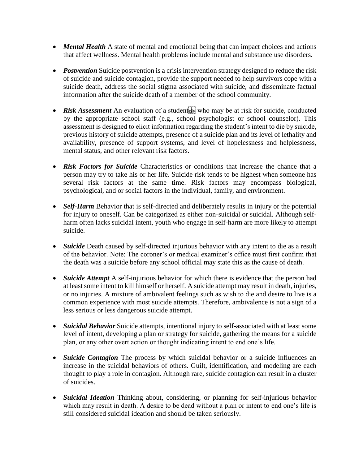- *Mental Health* A state of mental and emotional being that can impact choices and actions that affect wellness. Mental health problems include mental and substance use disorders.
- **Postvention** Suicide postvention is a crisis intervention strategy designed to reduce the risk of suicide and suicide contagion, provide the support needed to help survivors cope with a suicide death, address the social stigma associated with suicide, and disseminate factual information after the suicide death of a member of the school community.
- Risk Assessment An evaluation of a student vertility who may be at risk for suicide, conducted by the appropriate school staff (e.g., school psychologist or school counselor). This assessment is designed to elicit information regarding the student's intent to die by suicide, previous history of suicide attempts, presence of a suicide plan and its level of lethality and availability, presence of support systems, and level of hopelessness and helplessness, mental status, and other relevant risk factors.
- *Risk Factors for Suicide* Characteristics or conditions that increase the chance that a person may try to take his or her life. Suicide risk tends to be highest when someone has several risk factors at the same time. Risk factors may encompass biological, psychological, and or social factors in the individual, family, and environment.
- *Self-Harm* Behavior that is self-directed and deliberately results in injury or the potential for injury to oneself. Can be categorized as either non-suicidal or suicidal. Although selfharm often lacks suicidal intent, youth who engage in self-harm are more likely to attempt suicide.
- *Suicide* Death caused by self-directed injurious behavior with any intent to die as a result of the behavior. Note: The coroner's or medical examiner's office must first confirm that the death was a suicide before any school official may state this as the cause of death.
- *Suicide Attempt* A self-injurious behavior for which there is evidence that the person had at least some intent to kill himself or herself. A suicide attempt may result in death, injuries, or no injuries. A mixture of ambivalent feelings such as wish to die and desire to live is a common experience with most suicide attempts. Therefore, ambivalence is not a sign of a less serious or less dangerous suicide attempt.
- *Suicidal Behavior* Suicide attempts, intentional injury to self-associated with at least some level of intent, developing a plan or strategy for suicide, gathering the means for a suicide plan, or any other overt action or thought indicating intent to end one's life.
- *Suicide Contagion* The process by which suicidal behavior or a suicide influences an increase in the suicidal behaviors of others. Guilt, identification, and modeling are each thought to play a role in contagion. Although rare, suicide contagion can result in a cluster of suicides.
- *Suicidal Ideation* Thinking about, considering, or planning for self-injurious behavior which may result in death. A desire to be dead without a plan or intent to end one's life is still considered suicidal ideation and should be taken seriously.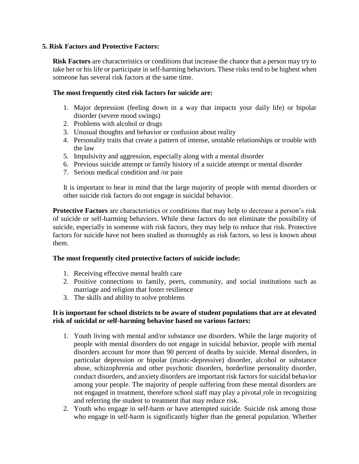#### **5. Risk Factors and Protective Factors:**

**Risk Factors** are characteristics or conditions that increase the chance that a person may try to take her or his life or participate in self-harming behaviors. These risks tend to be highest when someone has several risk factors at the same time.

#### **The most frequently cited risk factors for suicide are:**

- 1. Major depression (feeling down in a way that impacts your daily life) or bipolar disorder (severe mood swings)
- 2. Problems with alcohol or drugs
- 3. Unusual thoughts and behavior or confusion about reality
- 4. Personality traits that create a pattern of intense, unstable relationships or trouble with the law
- 5. Impulsivity and aggression, especially along with a mental disorder
- 6. Previous suicide attempt or family history of a suicide attempt or mental disorder
- 7. Serious medical condition and /or pain

It is important to bear in mind that the large majority of people with mental disorders or other suicide risk factors do not engage in suicidal behavior.

**Protective Factors** are characteristics or conditions that may help to decrease a person's risk of suicide or self-harming behaviors. While these factors do not eliminate the possibility of suicide, especially in someone with risk factors, they may help to reduce that risk. Protective factors for suicide have not been studied as thoroughly as risk factors, so less is known about them.

## **The most frequently cited protective factors of suicide include:**

- 1. Receiving effective mental health care
- 2. Positive connections to family, peers, community, and social institutions such as marriage and religion that foster resilience
- 3. The skills and ability to solve problems

## **It is important for school districts to be aware of student populations that are at elevated risk of suicidal or self-harming behavior based on various factors:**

- 1. Youth living with mental and/or substance use disorders. While the large majority of people with mental disorders do not engage in suicidal behavior, people with mental disorders account for more than 90 percent of deaths by suicide. Mental disorders, in particular depression or bipolar (manic-depressive) disorder, alcohol or substance abuse, schizophrenia and other psychotic disorders, borderline personality disorder, conduct disorders, and anxiety disorders are important risk factors for suicidal behavior among your people. The majority of people suffering from these mental disorders are not engaged in treatment, therefore school staff may play a pivotal role in recognizing and referring the student to treatment that may reduce risk.
- 2. Youth who engage in self-harm or have attempted suicide. Suicide risk among those who engage in self-harm is significantly higher than the general population. Whether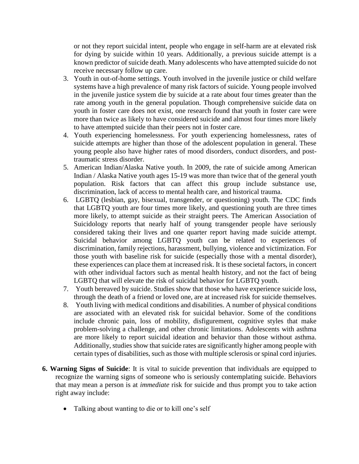or not they report suicidal intent, people who engage in self-harm are at elevated risk for dying by suicide within 10 years. Additionally, a previous suicide attempt is a known predictor of suicide death. Many adolescents who have attempted suicide do not receive necessary follow up care.

- 3. Youth in out-of-home settings. Youth involved in the juvenile justice or child welfare systems have a high prevalence of many risk factors of suicide. Young people involved in the juvenile justice system die by suicide at a rate about four times greater than the rate among youth in the general population. Though comprehensive suicide data on youth in foster care does not exist, one research found that youth in foster care were more than twice as likely to have considered suicide and almost four times more likely to have attempted suicide than their peers not in foster care.
- 4. Youth experiencing homelessness. For youth experiencing homelessness, rates of suicide attempts are higher than those of the adolescent population in general. These young people also have higher rates of mood disorders, conduct disorders, and posttraumatic stress disorder.
- 5. American Indian/Alaska Native youth. In 2009, the rate of suicide among American Indian / Alaska Native youth ages 15-19 was more than twice that of the general youth population. Risk factors that can affect this group include substance use, discrimination, lack of access to mental health care, and historical trauma.
- 6. LGBTQ (lesbian, gay, bisexual, transgender, or questioning) youth. The CDC finds that LGBTQ youth are four times more likely, and questioning youth are three times more likely, to attempt suicide as their straight peers. The American Association of Suicidology reports that nearly half of young transgender people have seriously considered taking their lives and one quarter report having made suicide attempt. Suicidal behavior among LGBTQ youth can be related to experiences of discrimination, family rejections, harassment, bullying, violence and victimization. For those youth with baseline risk for suicide (especially those with a mental disorder), these experiences can place them at increased risk. It is these societal factors, in concert with other individual factors such as mental health history, and not the fact of being LGBTQ that will elevate the risk of suicidal behavior for LGBTQ youth.
- 7. Youth bereaved by suicide. Studies show that those who have experience suicide loss, through the death of a friend or loved one, are at increased risk for suicide themselves.
- 8. Youth living with medical conditions and disabilities. A number of physical conditions are associated with an elevated risk for suicidal behavior. Some of the conditions include chronic pain, loss of mobility, disfigurement, cognitive styles that make problem-solving a challenge, and other chronic limitations. Adolescents with asthma are more likely to report suicidal ideation and behavior than those without asthma. Additionally, studies show that suicide rates are significantly higher among people with certain types of disabilities, such as those with multiple sclerosis or spinal cord injuries.
- **6. Warning Signs of Suicide**: It is vital to suicide prevention that individuals are equipped to recognize the warning signs of someone who is seriously contemplating suicide. Behaviors that may mean a person is at *immediate* risk for suicide and thus prompt you to take action right away include:
	- Talking about wanting to die or to kill one's self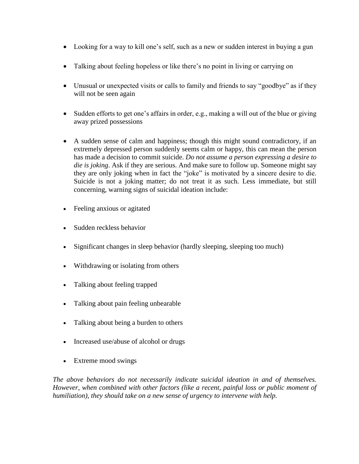- Looking for a way to kill one's self, such as a new or sudden interest in buying a gun
- Talking about feeling hopeless or like there's no point in living or carrying on
- Unusual or unexpected visits or calls to family and friends to say "goodbye" as if they will not be seen again
- Sudden efforts to get one's affairs in order, e.g., making a will out of the blue or giving away prized possessions
- A sudden sense of calm and happiness; though this might sound contradictory, if an extremely depressed person suddenly seems calm or happy, this can mean the person has made a decision to commit suicide. *Do not assume a person expressing a desire to die is joking*. Ask if they are serious. And make sure to follow up. Someone might say they are only joking when in fact the "joke" is motivated by a sincere desire to die. Suicide is not a joking matter; do not treat it as such. Less immediate, but still concerning, warning signs of suicidal ideation include:
- Feeling anxious or agitated
- Sudden reckless behavior
- Significant changes in sleep behavior (hardly sleeping, sleeping too much)
- Withdrawing or isolating from others
- Talking about feeling trapped
- Talking about pain feeling unbearable
- Talking about being a burden to others
- Increased use/abuse of alcohol or drugs
- Extreme mood swings

*The above behaviors do not necessarily indicate suicidal ideation in and of themselves. However, when combined with other factors (like a recent, painful loss or public moment of humiliation), they should take on a new sense of urgency to intervene with help.*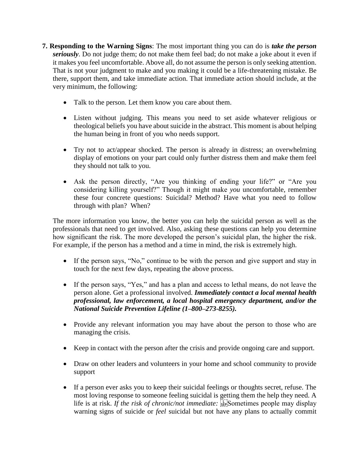- **7. Responding to the Warning Signs**: The most important thing you can do is *take the person seriously*. Do not judge them; do not make them feel bad; do not make a joke about it even if it makes you feel uncomfortable. Above all, do not assume the person is only seeking attention. That is not your judgment to make and you making it could be a life-threatening mistake. Be there, support them, and take immediate action. That immediate action should include, at the very minimum, the following:
	- Talk to the person. Let them know you care about them.
	- Listen without judging. This means you need to set aside whatever religious or theological beliefs you have about suicide in the abstract. This moment is about helping the human being in front of you who needs support.
	- Try not to act/appear shocked. The person is already in distress; an overwhelming display of emotions on your part could only further distress them and make them feel they should not talk to you.
	- Ask the person directly, "Are you thinking of ending your life?" or "Are you considering killing yourself?" Though it might make *you* uncomfortable, remember these four concrete questions: Suicidal? Method? Have what you need to follow through with plan? When?

The more information you know, the better you can help the suicidal person as well as the professionals that need to get involved. Also, asking these questions can help you determine how significant the risk. The more developed the person's suicidal plan, the higher the risk. For example, if the person has a method and a time in mind, the risk is extremely high.

- If the person says, "No," continue to be with the person and give support and stay in touch for the next few days, repeating the above process.
- If the person says, "Yes," and has a plan and access to lethal means, do not leave the person alone. Get a professional involved. *Immediately contact a local mental health professional, law enforcement, a local hospital emergency department, and/or the National Suicide Prevention Lifeline (1–800–273-8255).*
- Provide any relevant information you may have about the person to those who are managing the crisis.
- Keep in contact with the person after the crisis and provide ongoing care and support.
- Draw on other leaders and volunteers in your home and school community to provide support
- If a person ever asks you to keep their suicidal feelings or thoughts secret, refuse. The most loving response to someone feeling suicidal is getting them the help they need. A life is at risk. *If the risk of chronic/not immediate:* **SEP**S Sometimes people may display warning signs of suicide or *feel* suicidal but not have any plans to actually commit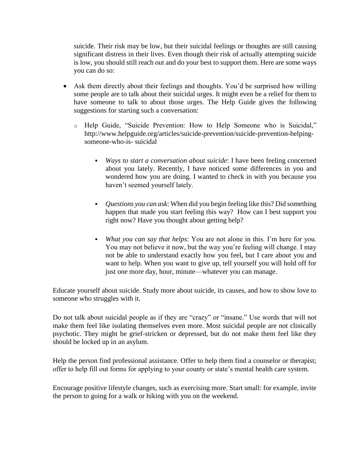suicide. Their risk may be low, but their suicidal feelings or thoughts are still causing significant distress in their lives. Even though their risk of actually attempting suicide is low, you should still reach out and do your best to support them. Here are some ways you can do so:

- Ask them directly about their feelings and thoughts. You'd be surprised how willing some people are to talk about their suicidal urges. It might even be a relief for them to have someone to talk to about those urges. The Help Guide gives the following suggestions for starting such a conversation:
	- o Help Guide, "Suicide Prevention: How to Help Someone who is Suicidal," http://www.helpguide.org/articles/suicide-prevention/suicide-prevention-helpingsomeone-who-is- suicidal
		- *Ways to start a conversation about suicide*: I have been feeling concerned about you lately. Recently, I have noticed some differences in you and wondered how you are doing. I wanted to check in with you because you haven't seemed yourself lately.
		- *Questions you can ask*: When did you begin feeling like this? Did something happen that made you start feeling this way? How can I best support you right now? Have you thought about getting help?
		- *What you can say that helps*: You are not alone in this. I'm here for you. You may not believe it now, but the way you're feeling will change. I may not be able to understand exactly how you feel, but I care about you and want to help. When you want to give up, tell yourself you will hold off for just one more day, hour, minute—whatever you can manage.

Educate yourself about suicide. Study more about suicide, its causes, and how to show love to someone who struggles with it.

Do not talk about suicidal people as if they are "crazy" or "insane." Use words that will not make them feel like isolating themselves even more. Most suicidal people are not clinically psychotic. They might be grief-stricken or depressed, but do not make them feel like they should be locked up in an asylum.

Help the person find professional assistance. Offer to help them find a counselor or therapist; offer to help fill out forms for applying to your county or state's mental health care system.

Encourage positive lifestyle changes, such as exercising more. Start small: for example, invite the person to going for a walk or hiking with you on the weekend.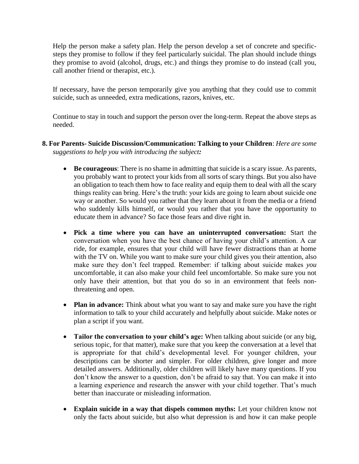Help the person make a safety plan. Help the person develop a set of concrete and specificsteps they promise to follow if they feel particularly suicidal. The plan should include things they promise to avoid (alcohol, drugs, etc.) and things they promise to do instead (call you, call another friend or therapist, etc.).

If necessary, have the person temporarily give you anything that they could use to commit suicide, such as unneeded, extra medications, razors, knives, etc.

Continue to stay in touch and support the person over the long-term. Repeat the above steps as needed.

## **8. For Parents- Suicide Discussion/Communication: Talking to your Children**: *Here are some suggestions to help you with introducing the subject:*

- **Be courageous**: There is no shame in admitting that suicide is a scary issue. As parents, you probably want to protect your kids from all sorts of scary things. But you also have an obligation to teach them how to face reality and equip them to deal with all the scary things reality can bring. Here's the truth: your kids are going to learn about suicide one way or another. So would you rather that they learn about it from the media or a friend who suddenly kills himself, or would you rather that you have the opportunity to educate them in advance? So face those fears and dive right in.
- **Pick a time where you can have an uninterrupted conversation:** Start the conversation when you have the best chance of having your child's attention. A car ride, for example, ensures that your child will have fewer distractions than at home with the TV on. While you want to make sure your child gives you their attention, also make sure they don't feel trapped. Remember: if talking about suicide makes *you*  uncomfortable, it can also make your child feel uncomfortable. So make sure you not only have their attention, but that you do so in an environment that feels nonthreatening and open.
- **Plan in advance:** Think about what you want to say and make sure you have the right information to talk to your child accurately and helpfully about suicide. Make notes or plan a script if you want.
- **Tailor the conversation to your child's age:** When talking about suicide (or any big, serious topic, for that matter), make sure that you keep the conversation at a level that is appropriate for that child's developmental level. For younger children, your descriptions can be shorter and simpler. For older children, give longer and more detailed answers. Additionally, older children will likely have many questions. If you don't know the answer to a question, don't be afraid to say that. You can make it into a learning experience and research the answer with your child together. That's much better than inaccurate or misleading information.
- **Explain suicide in a way that dispels common myths:** Let your children know not only the facts about suicide, but also what depression is and how it can make people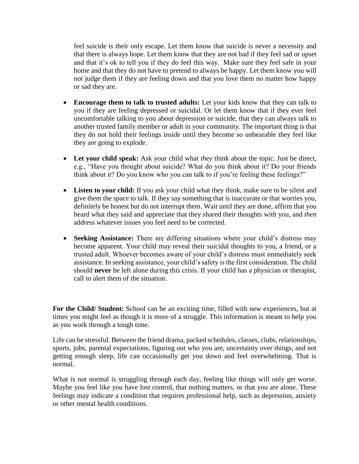feel suicide is their only escape. Let them know that suicide is never a necessity and that there is always hope. Let them know that they are not bad if they feel sad or upset and that it's ok to tell you if they do feel this way. Make sure they feel safe in your home and that they do not have to pretend to always be happy. Let them know you will not judge them if they are feeling down and that you love them no matter how happy or sad they are.

- **Encourage them to talk to trusted adults:** Let your kids know that they can talk to you if they are feeling depressed or suicidal. Or let them know that if they ever feel uncomfortable talking to you about depression or suicide, that they can always talk to another trusted family member or adult in your community. The important thing is that they do not hold their feelings inside until they become so unbearable they feel like they are going to explode.
- **Let your child speak:** Ask your child what *they* think about the topic. Just be direct, e.g., "Have you thought about suicide? What do you think about it? Do your friends think about it? Do you know who you can talk to if you're feeling these feelings?"
- **Listen to your child:** If you ask your child what they think, make sure to be silent and give them the space to talk. If they say something that is inaccurate or that worries you, definitely be honest but do not interrupt them. Wait until they are done, affirm that you heard what they said and appreciate that they shared their thoughts with you, and *then*  address whatever issues you feel need to be corrected.
- **Seeking Assistance:** There are differing situations where your child's distress may become apparent. Your child may reveal their suicidal thoughts to you, a friend, or a trusted adult. Whoever becomes aware of your child's distress must immediately seek assistance. In seeking assistance, your child's safety is the first consideration. The child should **never** be left alone during this crisis. If your child has a physician or therapist, call to alert them of the situation.

**For the Child/ Student:** School can be an exciting time, filled with new experiences, but at times you might feel as though it is more of a struggle. This information is meant to help you as you work through a tough time.

Life can be stressful. Between the friend drama, packed schedules, classes, clubs, relationships, sports, jobs, parental expectations, figuring out who you are, uncertainty over things, and not getting enough sleep, life can occasionally get you down and feel overwhelming. That is normal.

What is not normal is struggling through each day, feeling like things will only get worse. Maybe you feel like you have lost control, that nothing matters, or that you are alone. These feelings may indicate a condition that requires professional help, such as depression, anxiety or other mental health conditions.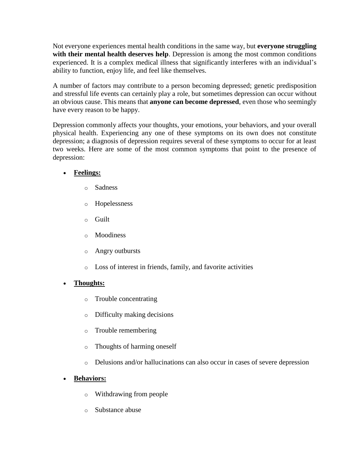Not everyone experiences mental health conditions in the same way, but **everyone struggling with their mental health deserves help**. Depression is among the most common conditions experienced. It is a complex medical illness that significantly interferes with an individual's ability to function, enjoy life, and feel like themselves.

A number of factors may contribute to a person becoming depressed; genetic predisposition and stressful life events can certainly play a role, but sometimes depression can occur without an obvious cause. This means that **anyone can become depressed**, even those who seemingly have every reason to be happy.

Depression commonly affects your thoughts, your emotions, your behaviors, and your overall physical health. Experiencing any one of these symptoms on its own does not constitute depression; a diagnosis of depression requires several of these symptoms to occur for at least two weeks. Here are some of the most common symptoms that point to the presence of depression:

# **Feelings:**

- o Sadness
- o Hopelessness
- o Guilt
- o Moodiness
- o Angry outbursts
- o Loss of interest in friends, family, and favorite activities

## **Thoughts:**

- o Trouble concentrating
- o Difficulty making decisions
- o Trouble remembering
- o Thoughts of harming oneself
- o Delusions and/or hallucinations can also occur in cases of severe depression

# **Behaviors:**

- o Withdrawing from people
- o Substance abuse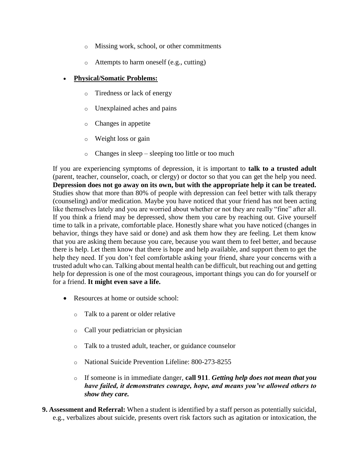- o Missing work, school, or other commitments
- o Attempts to harm oneself (e.g., cutting)

#### **Physical/Somatic Problems:**

- o Tiredness or lack of energy
- o Unexplained aches and pains
- o Changes in appetite
- o Weight loss or gain
- o Changes in sleep sleeping too little or too much

If you are experiencing symptoms of depression, it is important to **talk to a trusted adult**  (parent, teacher, counselor, coach, or clergy) or doctor so that you can get the help you need. **Depression does not go away on its own, but with the appropriate help it can be treated.**  Studies show that more than 80% of people with depression can feel better with talk therapy (counseling) and/or medication. Maybe you have noticed that your friend has not been acting like themselves lately and you are worried about whether or not they are really "fine" after all. If you think a friend may be depressed, show them you care by reaching out. Give yourself time to talk in a private, comfortable place. Honestly share what you have noticed (changes in behavior, things they have said or done) and ask them how they are feeling. Let them know that you are asking them because you care, because you want them to feel better, and because there is help. Let them know that there is hope and help available, and support them to get the help they need. If you don't feel comfortable asking your friend, share your concerns with a trusted adult who can. Talking about mental health can be difficult, but reaching out and getting help for depression is one of the most courageous, important things you can do for yourself or for a friend. **It might even save a life.** 

- Resources at home or outside school:
	- o Talk to a parent or older relative
	- o Call your pediatrician or physician
	- o Talk to a trusted adult, teacher, or guidance counselor
	- o National Suicide Prevention Lifeline: 800-273-8255
	- o If someone is in immediate danger, **call 911**. *Getting help does not mean that you have failed, it demonstrates courage, hope, and means you've allowed others to show they care.*
- **9. Assessment and Referral:** When a student is identified by a staff person as potentially suicidal, e.g., verbalizes about suicide, presents overt risk factors such as agitation or intoxication, the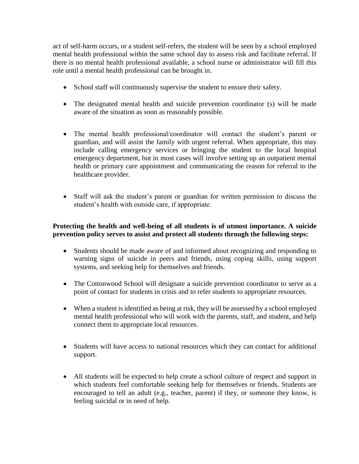act of self-harm occurs, or a student self-refers, the student will be seen by a school employed mental health professional within the same school day to assess risk and facilitate referral. If there is no mental health professional available, a school nurse or administrator will fill this role until a mental health professional can be brought in.

- School staff will continuously supervise the student to ensure their safety.
- The designated mental health and suicide prevention coordinator (s) will be made aware of the situation as soon as reasonably possible.
- The mental health professional/coordinator will contact the student's parent or guardian, and will assist the family with urgent referral. When appropriate, this may include calling emergency services or bringing the student to the local hospital emergency department, but in most cases will involve setting up an outpatient mental health or primary care appointment and communicating the reason for referral to the healthcare provider.
- Staff will ask the student's parent or guardian for written permission to discuss the student's health with outside care, if appropriate.

## **Protecting the health and well-being of all students is of utmost importance. A suicide prevention policy serves to assist and protect all students through the following steps:**

- Students should be made aware of and informed about recognizing and responding to warning signs of suicide in peers and friends, using coping skills, using support systems, and seeking help for themselves and friends.
- The Cottonwood School will designate a suicide prevention coordinator to serve as a point of contact for students in crisis and to refer students to appropriate resources.
- When a student is identified as being at risk, they will be assessed by a school employed mental health professional who will work with the parents, staff, and student, and help connect them to appropriate local resources.
- Students will have access to national resources which they can contact for additional support.
- All students will be expected to help create a school culture of respect and support in which students feel comfortable seeking help for themselves or friends. Students are encouraged to tell an adult (e.g., teacher, parent) if they, or someone they know, is feeling suicidal or in need of help.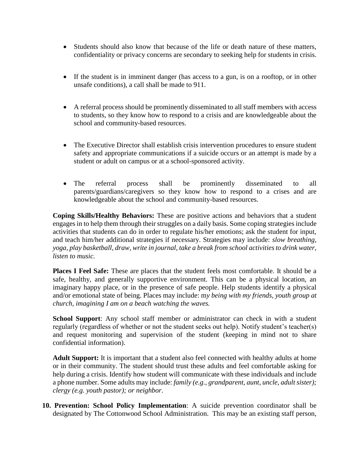- Students should also know that because of the life or death nature of these matters, confidentiality or privacy concerns are secondary to seeking help for students in crisis.
- If the student is in imminent danger (has access to a gun, is on a rooftop, or in other unsafe conditions), a call shall be made to 911.
- A referral process should be prominently disseminated to all staff members with access to students, so they know how to respond to a crisis and are knowledgeable about the school and community-based resources.
- The Executive Director shall establish crisis intervention procedures to ensure student safety and appropriate communications if a suicide occurs or an attempt is made by a student or adult on campus or at a school-sponsored activity.
- The referral process shall be prominently disseminated to all parents/guardians/caregivers so they know how to respond to a crises and are knowledgeable about the school and community-based resources.

**Coping Skills/Healthy Behaviors:** These are positive actions and behaviors that a student engages in to help them through their struggles on a daily basis. Some coping strategies include activities that students can do in order to regulate his/her emotions; ask the student for input, and teach him/her additional strategies if necessary. Strategies may include: *slow breathing, yoga, play basketball, draw, write in journal, take a break from school activities to drink water, listen to music.*

**Places I Feel Safe:** These are places that the student feels most comfortable. It should be a safe, healthy, and generally supportive environment. This can be a physical location, an imaginary happy place, or in the presence of safe people. Help students identify a physical and/or emotional state of being. Places may include: m*y being with my friends, youth group at church, imagining I am on a beach watching the waves.*

**School Support**: Any school staff member or administrator can check in with a student regularly (regardless of whether or not the student seeks out help). Notify student's teacher(s) and request monitoring and supervision of the student (keeping in mind not to share confidential information).

**Adult Support:** It is important that a student also feel connected with healthy adults at home or in their community. The student should trust these adults and feel comfortable asking for help during a crisis. Identify how student will communicate with these individuals and include a phone number. Some adults may include: *family (e.g., grandparent, aunt, uncle, adult sister); clergy (e.g. youth pastor); or neighbor.* 

**10. Prevention: School Policy Implementation**: A suicide prevention coordinator shall be designated by The Cottonwood School Administration. This may be an existing staff person,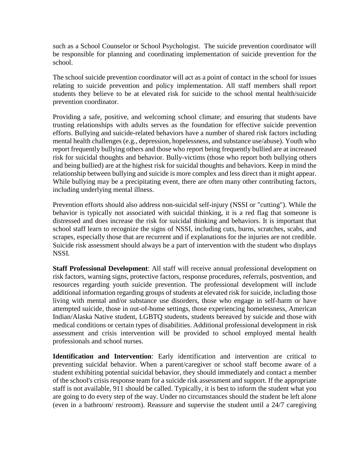such as a School Counselor or School Psychologist. The suicide prevention coordinator will be responsible for planning and coordinating implementation of suicide prevention for the school.

The school suicide prevention coordinator will act as a point of contact in the school for issues relating to suicide prevention and policy implementation. All staff members shall report students they believe to be at elevated risk for suicide to the school mental health/suicide prevention coordinator.

Providing a safe, positive, and welcoming school climate; and ensuring that students have trusting relationships with adults serves as the foundation for effective suicide prevention efforts. Bullying and suicide-related behaviors have a number of shared risk factors including mental health challenges (e.g., depression, hopelessness, and substance use/abuse). Youth who report frequently bullying others and those who report being frequently bullied are at increased risk for suicidal thoughts and behavior. Bully-victims (those who report both bullying others and being bullied) are at the highest risk for suicidal thoughts and behaviors. Keep in mind the relationship between bullying and suicide is more complex and less direct than it might appear. While bullying may be a precipitating event, there are often many other contributing factors, including underlying mental illness.

Prevention efforts should also address non-suicidal self-injury (NSSI or "cutting"). While the behavior is typically not associated with suicidal thinking, it is a red flag that someone is distressed and does increase the risk for suicidal thinking and behaviors. It is important that school staff learn to recognize the signs of NSSI, including cuts, burns, scratches, scabs, and scrapes, especially those that are recurrent and if explanations for the injuries are not credible. Suicide risk assessment should always be a part of intervention with the student who displays NSSI.

**Staff Professional Development**: All staff will receive annual professional development on risk factors, warning signs, protective factors, response procedures, referrals, postvention, and resources regarding youth suicide prevention. The professional development will include additional information regarding groups of students at elevated risk for suicide, including those living with mental and/or substance use disorders, those who engage in self-harm or have attempted suicide, those in out-of-home settings, those experiencing homelessness, American Indian/Alaska Native student, LGBTQ students, students bereaved by suicide and those with medical conditions or certain types of disabilities. Additional professional development in risk assessment and crisis intervention will be provided to school employed mental health professionals and school nurses.

**Identification and Intervention**: Early identification and intervention are critical to preventing suicidal behavior. When a parent/caregiver or school staff become aware of a student exhibiting potential suicidal behavior, they should immediately and contact a member of the school's crisis response team for a suicide risk assessment and support. If the appropriate staff is not available, 911 should be called. Typically, it is best to inform the student what you are going to do every step of the way. Under no circumstances should the student be left alone (even in a bathroom/ restroom). Reassure and supervise the student until a 24/7 caregiving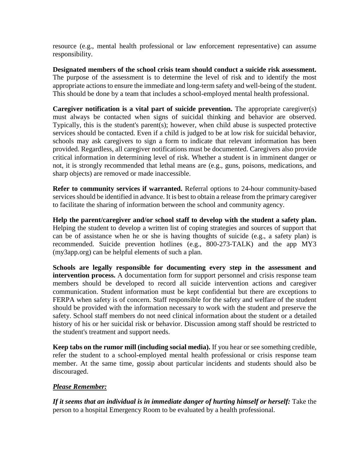resource (e.g., mental health professional or law enforcement representative) can assume responsibility.

**Designated members of the school crisis team should conduct a suicide risk assessment.**  The purpose of the assessment is to determine the level of risk and to identify the most appropriate actions to ensure the immediate and long-term safety and well-being of the student. This should be done by a team that includes a school-employed mental health professional.

**Caregiver notification is a vital part of suicide prevention.** The appropriate caregiver(s) must always be contacted when signs of suicidal thinking and behavior are observed. Typically, this is the student's parent(s); however, when child abuse is suspected protective services should be contacted. Even if a child is judged to be at low risk for suicidal behavior, schools may ask caregivers to sign a form to indicate that relevant information has been provided. Regardless, all caregiver notifications must be documented. Caregivers also provide critical information in determining level of risk. Whether a student is in imminent danger or not, it is strongly recommended that lethal means are (e.g., guns, poisons, medications, and sharp objects) are removed or made inaccessible.

**Refer to community services if warranted.** Referral options to 24-hour community-based services should be identified in advance. It is best to obtain a release from the primary caregiver to facilitate the sharing of information between the school and community agency.

**Help the parent/caregiver and/or school staff to develop with the student a safety plan.**  Helping the student to develop a written list of coping strategies and sources of support that can be of assistance when he or she is having thoughts of suicide (e.g., a safety plan) is recommended. Suicide prevention hotlines (e.g., 800-273-TALK) and the app MY3 (my3app.org) can be helpful elements of such a plan.

**Schools are legally responsible for documenting every step in the assessment and intervention process.** A documentation form for support personnel and crisis response team members should be developed to record all suicide intervention actions and caregiver communication. Student information must be kept confidential but there are exceptions to FERPA when safety is of concern. Staff responsible for the safety and welfare of the student should be provided with the information necessary to work with the student and preserve the safety. School staff members do not need clinical information about the student or a detailed history of his or her suicidal risk or behavior. Discussion among staff should be restricted to the student's treatment and support needs.

**Keep tabs on the rumor mill (including social media).** If you hear or see something credible, refer the student to a school-employed mental health professional or crisis response team member. At the same time, gossip about particular incidents and students should also be discouraged.

## *Please Remember:*

*If it seems that an individual is in immediate danger of hurting himself or herself:* Take the person to a hospital Emergency Room to be evaluated by a health professional.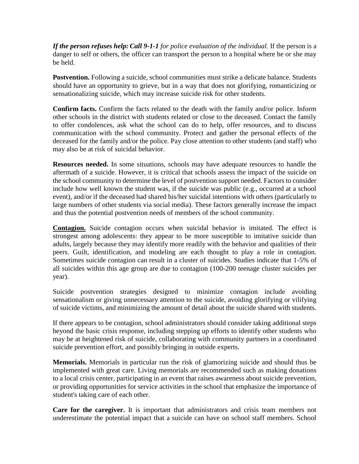*If the person refuses help:Call 9-1-1 for police evaluation of the individual.* If the person is a danger to self or others, the officer can transport the person to a hospital where he or she may be held.

**Postvention.** Following a suicide, school communities must strike a delicate balance. Students should have an opportunity to grieve, but in a way that does not glorifying, romanticizing or sensationalizing suicide, which may increase suicide risk for other students.

**Confirm facts.** Confirm the facts related to the death with the family and/or police. Inform other schools in the district with students related or close to the deceased. Contact the family to offer condolences, ask what the school can do to help, offer resources, and to discuss communication with the school community. Protect and gather the personal effects of the deceased for the family and/or the police. Pay close attention to other students (and staff) who may also be at risk of suicidal behavior.

**Resources needed.** In some situations, schools may have adequate resources to handle the aftermath of a suicide. However, it is critical that schools assess the impact of the suicide on the school community to determine the level of postvention support needed. Factors to consider include how well known the student was, if the suicide was public (e.g., occurred at a school event), and/or if the deceased had shared his/her suicidal intentions with others (particularly to large numbers of other students via social media). These factors generally increase the impact and thus the potential postvention needs of members of the school community.

**Contagion.** Suicide contagion occurs when suicidal behavior is imitated. The effect is strongest among adolescents: they appear to be more susceptible to imitative suicide than adults, largely because they may identify more readily with the behavior and qualities of their peers. Guilt, identification, and modeling are each thought to play a role in contagion. Sometimes suicide contagion can result in a cluster of suicides. Studies indicate that 1-5% of all suicides within this age group are due to contagion (100-200 teenage cluster suicides per year).

Suicide postvention strategies designed to minimize contagion include avoiding sensationalism or giving unnecessary attention to the suicide, avoiding glorifying or vilifying of suicide victims, and minimizing the amount of detail about the suicide shared with students.

If there appears to be contagion, school administrators should consider taking additional steps beyond the basic crisis response, including stepping up efforts to identify other students who may be at heightened risk of suicide, collaborating with community partners in a coordinated suicide prevention effort, and possibly bringing in outside experts.

**Memorials.** Memorials in particular run the risk of glamorizing suicide and should thus be implemented with great care. Living memorials are recommended such as making donations to a local crisis center, participating in an event that raises awareness about suicide prevention, or providing opportunities for service activities in the school that emphasize the importance of student's taking care of each other.

**Care for the caregiver.** It is important that administrators and crisis team members not underestimate the potential impact that a suicide can have on school staff members. School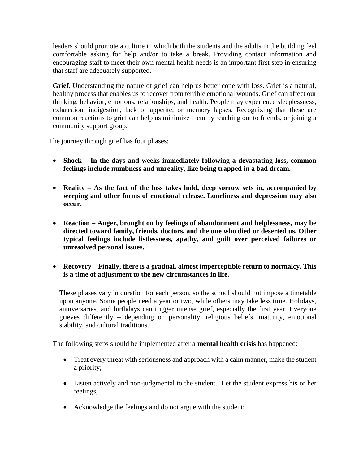leaders should promote a culture in which both the students and the adults in the building feel comfortable asking for help and/or to take a break. Providing contact information and encouraging staff to meet their own mental health needs is an important first step in ensuring that staff are adequately supported.

**Grief**. Understanding the nature of grief can help us better cope with loss. Grief is a natural, healthy process that enables us to recover from terrible emotional wounds. Grief can affect our thinking, behavior, emotions, relationships, and health. People may experience sleeplessness, exhaustion, indigestion, lack of appetite, or memory lapses. Recognizing that these are common reactions to grief can help us minimize them by reaching out to friends, or joining a community support group.

The journey through grief has four phases:

- **Shock – In the days and weeks immediately following a devastating loss, common feelings include numbness and unreality, like being trapped in a bad dream.**
- **Reality – As the fact of the loss takes hold, deep sorrow sets in, accompanied by weeping and other forms of emotional release. Loneliness and depression may also occur.**
- **Reaction – Anger, brought on by feelings of abandonment and helplessness, may be directed toward family, friends, doctors, and the one who died or deserted us. Other typical feelings include listlessness, apathy, and guilt over perceived failures or unresolved personal issues.**
- **Recovery – Finally, there is a gradual, almost imperceptible return to normalcy. This is a time of adjustment to the new circumstances in life.**

These phases vary in duration for each person, so the school should not impose a timetable upon anyone. Some people need a year or two, while others may take less time. Holidays, anniversaries, and birthdays can trigger intense grief, especially the first year. Everyone grieves differently – depending on personality, religious beliefs, maturity, emotional stability, and cultural traditions.

The following steps should be implemented after a **mental health crisis** has happened:

- Treat every threat with seriousness and approach with a calm manner, make the student a priority;
- Listen actively and non-judgmental to the student. Let the student express his or her feelings;
- Acknowledge the feelings and do not argue with the student;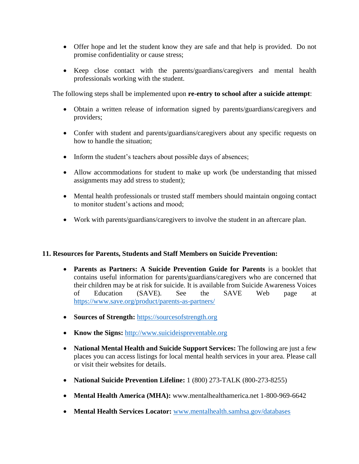- Offer hope and let the student know they are safe and that help is provided. Do not promise confidentiality or cause stress;
- Keep close contact with the parents/guardians/caregivers and mental health professionals working with the student.

The following steps shall be implemented upon **re-entry to school after a suicide attempt**:

- Obtain a written release of information signed by parents/guardians/caregivers and providers;
- Confer with student and parents/guardians/caregivers about any specific requests on how to handle the situation;
- Inform the student's teachers about possible days of absences;
- Allow accommodations for student to make up work (be understanding that missed assignments may add stress to student);
- Mental health professionals or trusted staff members should maintain ongoing contact to monitor student's actions and mood;
- Work with parents/guardians/caregivers to involve the student in an aftercare plan.

## **11. Resources for Parents, Students and Staff Members on Suicide Prevention:**

- **Parents as Partners: A Suicide Prevention Guide for Parents** is a booklet that contains useful information for parents/guardians/caregivers who are concerned that their children may be at risk for suicide. It is available from Suicide Awareness Voices of Education (SAVE). See the SAVE Web page at <https://www.save.org/product/parents-as-partners/>
- **Sources of Strength: [https://sourcesofstrength.org](https://sourcesofstrength.org/)**
- **Know the Signs:** [http://www.suicideispreventable.org](http://www.suicideispreventable.org/)
- **National Mental Health and Suicide Support Services:** The following are just a few places you can access listings for local mental health services in your area. Please call or visit their websites for details.
- **National Suicide Prevention Lifeline:** 1 (800) 273-TALK (800-273-8255)
- **Mental Health America (MHA):** www.mentalhealthamerica.net 1-800-969-6642
- **Mental Health Services Locator:** [www.mentalhealth.samhsa.gov/databases](http://www.mentalhealth.samhsa.gov/databases)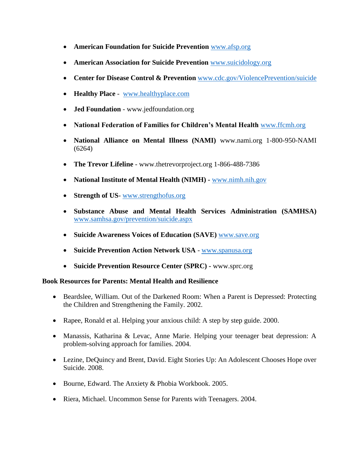- **American Foundation for Suicide Prevention** [www.afsp.org](http://www.afsp.org/)
- **American Association for Suicide Prevention** [www.suicidology.org](http://www.suicidology.org/)
- **Center for Disease Control & Prevention** [www.cdc.gov/ViolencePrevention/suicide](http://www.cdc.gov/ViolencePrevention/suicide)
- **Healthy Place** [www.healthyplace.com](http://www.healthyplace.com/)
- **Jed Foundation** www.jedfoundation.org
- **National Federation of Families for Children's Mental Health** [www.ffcmh.org](http://www.ffcmh.org/)
- **National Alliance on Mental Illness (NAMI)** www.nami.org 1-800-950-NAMI (6264)
- **The Trevor Lifeline** www.thetrevorproject.org 1-866-488-7386
- **National Institute of Mental Health (NIMH) -** [www.nimh.nih.gov](http://www.nimh.nih.gov/)
- **Strength of US** [www.strengthofus.org](http://www.strengthofus.org/)
- **Substance Abuse and Mental Health Services Administration (SAMHSA)**  [www.samhsa.gov/prevention/suicide.aspx](http://www.samhsa.gov/prevention/suicide.aspx)
- **Suicide Awareness Voices of Education (SAVE) [www.save.org](http://www.save.org/)**
- **Suicide Prevention Action Network USA** [www.spanusa.org](http://www.spanusa.org/)
- **Suicide Prevention Resource Center (SPRC) -** www.sprc.org

## **Book Resources for Parents: Mental Health and Resilience**

- Beardslee, William. Out of the Darkened Room: When a Parent is Depressed: Protecting the Children and Strengthening the Family. 2002.
- Rapee, Ronald et al. Helping your anxious child: A step by step guide. 2000.
- Manassis, Katharina & Levac, Anne Marie. Helping your teenager beat depression: A problem-solving approach for families. 2004.
- Lezine, DeQuincy and Brent, David. Eight Stories Up: An Adolescent Chooses Hope over Suicide. 2008.
- Bourne, Edward. The Anxiety & Phobia Workbook. 2005.
- Riera, Michael. Uncommon Sense for Parents with Teenagers. 2004.